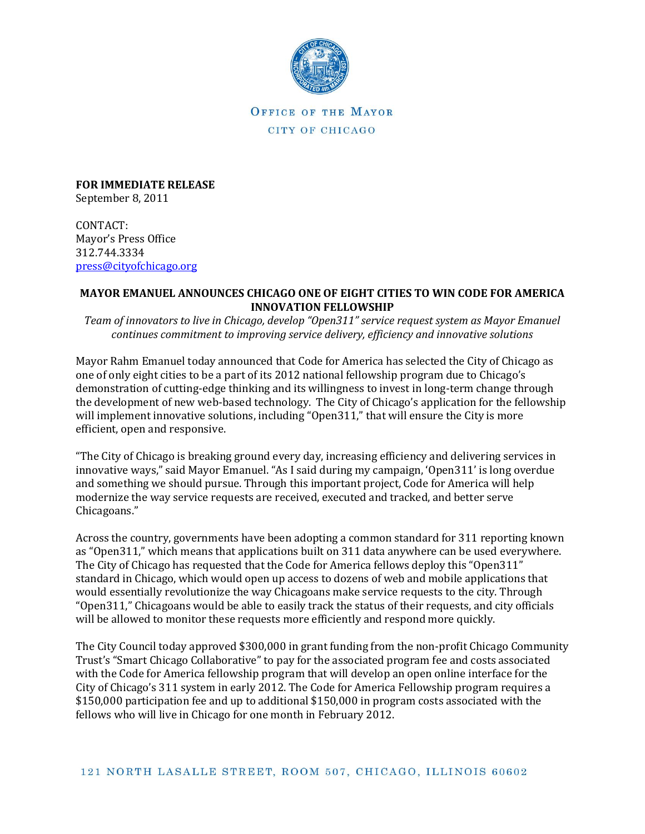

OFFICE OF THE MAYOR CITY OF CHICAGO

**FOR IMMEDIATE RELEASE** September 8, 2011

CONTACT: Mayor's Press Office 312.744.3334 [press@cityofchicago.org](mailto:press@cityofchicago.org)

## **MAYOR EMANUEL ANNOUNCES CHICAGO ONE OF EIGHT CITIES TO WIN CODE FOR AMERICA INNOVATION FELLOWSHIP**

*Team of innovators to live in Chicago, develop "Open311" service request system as Mayor Emanuel continues commitment to improving service delivery, efficiency and innovative solutions*

Mayor Rahm Emanuel today announced that Code for America has selected the City of Chicago as one of only eight cities to be a part of its 2012 national fellowship program due to Chicago's demonstration of cutting-edge thinking and its willingness to invest in long-term change through the development of new web-based technology. The City of Chicago's application for the fellowship will implement innovative solutions, including "Open311," that will ensure the City is more efficient, open and responsive.

"The City of Chicago is breaking ground every day, increasing efficiency and delivering services in innovative ways," said Mayor Emanuel. "As I said during my campaign, 'Open311' is long overdue and something we should pursue. Through this important project, Code for America will help modernize the way service requests are received, executed and tracked, and better serve Chicagoans."

Across the country, governments have been adopting a common standard for 311 reporting known as "Open311," which means that applications built on 311 data anywhere can be used everywhere. The City of Chicago has requested that the Code for America fellows deploy this "Open311" standard in Chicago, which would open up access to dozens of web and mobile applications that would essentially revolutionize the way Chicagoans make service requests to the city. Through "Open311," Chicagoans would be able to easily track the status of their requests, and city officials will be allowed to monitor these requests more efficiently and respond more quickly.

The City Council today approved \$300,000 in grant funding from the non-profit Chicago Community Trust's "Smart Chicago Collaborative" to pay for the associated program fee and costs associated with the Code for America fellowship program that will develop an open online interface for the City of Chicago's 311 system in early 2012. The Code for America Fellowship program requires a \$150,000 participation fee and up to additional \$150,000 in program costs associated with the fellows who will live in Chicago for one month in February 2012.